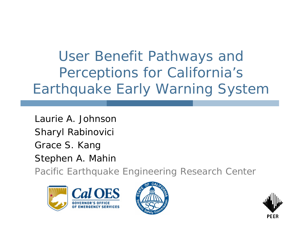User Benefit Pathways and Perceptions for California's Earthquake Early Warning System

Laurie A. JohnsonSharyl Rabinovici Grace S. Kang Stephen A. Mahin

Pacific Earthquake Engineering Research Center





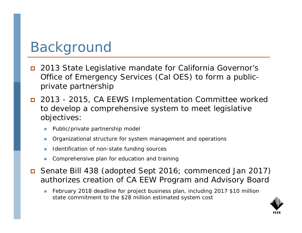# Background

- $\Box$  2013 State Legislative mandate for California Governor's Office of Emergency Services (Cal OES) to form a publicprivate partnership
- 2013 2015, CA EEWS Implementation Committee worked to develop a comprehensive system to meet legislative objectives:
	- Public/private partnership model
	- $\mathcal{L}_{\mathcal{A}}$ Organizational structure for system management and operations
	- $\mathcal{L}_{\mathcal{A}}$ Identification of non-state funding sources
	- Comprehensive plan for education and training
- Senate Bill 438 (adopted Sept 2016; commenced Jan 2017) authorizes creation of CA EEW Program and Advisory Board
	- February 2018 deadline for project business plan, including 2017 \$10 million state commitment to the \$28 million estimated system cost

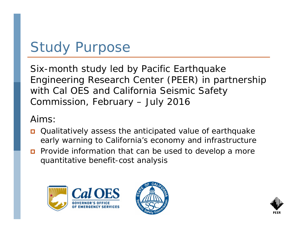# Study Purpose

Six-month study led by Pacific Earthquake Engineering Research Center (PEER) in partnership with Cal OES and California Seismic Safety Commission, February – July 2016

Aims:

- Qualitatively assess the anticipated value of earthquake early warning to California's economy and infrastructure
- $\Box$  Provide information that can be used to develop a more quantitative benefit-cost analysis





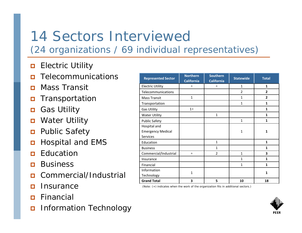#### 14 Sectors Interviewed(24 organizations / 69 individual representatives)

- $\Box$ Electric Utility
- $\Box$ Telecommunications
- $\Box$ Mass Transit
- $\Box$ Transportation
- Ω Gas Utility
- $\Box$ Water Utility
- $\Box$ Public Safety
- Ω Hospital and EMS
- $\Box$ Education
- П Business
- П Commercial/Industrial
- $\Box$ **Insurance**
- П Financial
- $\Box$ Information Technology

| <b>Represented Sector</b>                                   | <b>Northern</b><br><b>California</b> | <b>Southern</b><br><b>California</b> | <b>Statewide</b> | <b>Total</b>   |
|-------------------------------------------------------------|--------------------------------------|--------------------------------------|------------------|----------------|
| <b>Electric Utility</b>                                     | $+$                                  | $^{+}$                               | $\mathbf{1}$     | $\mathbf{1}$   |
| Telecommunications                                          |                                      |                                      | $\overline{2}$   | $\overline{2}$ |
| <b>Mass Transit</b>                                         | $\mathbf{1}$                         |                                      | $\mathbf{1}$     | $\overline{2}$ |
| Transportation                                              |                                      |                                      | $\mathbf{1}$     | $\mathbf{1}$   |
| <b>Gas Utility</b>                                          | $1+$                                 |                                      |                  | $\mathbf{1}$   |
| <b>Water Utility</b>                                        |                                      | $\mathbf{1}$                         |                  | $\mathbf{1}$   |
| <b>Public Safety</b>                                        |                                      |                                      | $\mathbf{1}$     | $\mathbf{1}$   |
| Hospital and<br><b>Emergency Medical</b><br><b>Services</b> |                                      |                                      | $\mathbf{1}$     | $\mathbf{1}$   |
| Education                                                   |                                      | $\mathbf{1}$                         |                  | $\mathbf{1}$   |
| <b>Business</b>                                             |                                      | 1                                    |                  | $\mathbf{1}$   |
| Commercial/Industrial                                       | $^{+}$                               | $\overline{2}$                       | $\mathbf{1}$     | 3              |
| Insurance                                                   |                                      |                                      | $\mathbf{1}$     | $\mathbf{1}$   |
| Financial                                                   |                                      |                                      | $\mathbf{1}$     | $\mathbf{1}$   |
| Information<br>Technology                                   | 1                                    |                                      |                  | 1              |
| <b>Grand Total</b>                                          | 3                                    | 5                                    | 10               | 18             |

(Note: (+) indicates when the work of the organization fits in additional sectors.)

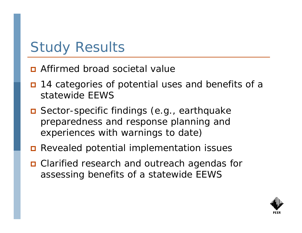# Study Results

- **D** Affirmed broad societal value
- n 14 categories of potential uses and benefits of a statewide EEWS
- Sector-specific findings (e.g., earthquake preparedness and response planning and experiences with warnings to date)
- **Revealed potential implementation issues**
- Clarified research and outreach agendas for assessing benefits of a statewide EEWS

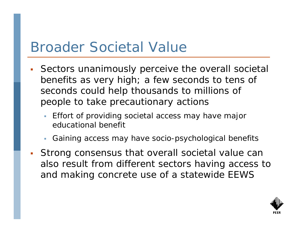### Broader Societal Value

- П Sectors unanimously perceive the overall societal benefits as very high; a few seconds to tens of seconds could help thousands to millions of people to take precautionary actions
	- Effort of providing societal access may have major educational benefit
	- Gaining access may have socio-psychological benefits
- П Strong consensus that overall societal value can also result from different sectors having access to and making concrete use of a statewide EEWS

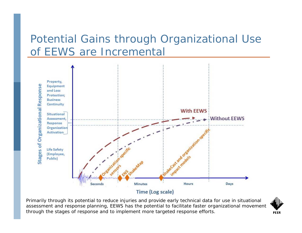#### Potential Gains through Organizational Use of EEWS are Incremental



Primarily through its potential to reduce injuries and provide early technical data for use in situational assessment and response planning, EEWS has the potential to facilitate faster organizational movement through the stages of response and to implement more targeted response efforts.

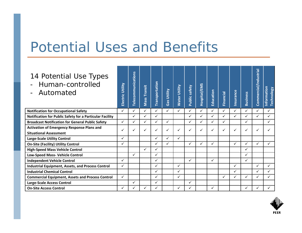### Potential Uses and Benefits

| 14 Potential Use Types<br>Human-controlled<br>Automated                            | Electric Utility | <b>Telecommunications</b> | Transit<br>Nass <sup>-</sup> | <b>Transportation</b> | Gas Utility  | Utility<br><b>Water</b> | Public safety | Hospital/EMS | Education    | Financial | Insurance    | <b>Business</b> | Commercial/Industrial | Information<br><b>Technology</b> |
|------------------------------------------------------------------------------------|------------------|---------------------------|------------------------------|-----------------------|--------------|-------------------------|---------------|--------------|--------------|-----------|--------------|-----------------|-----------------------|----------------------------------|
| <b>Notification for Occupational Safety</b>                                        | ✓                | ✓                         | ✓                            | ✓                     | ✓            | $\checkmark$            | $\checkmark$  | ✓            | ✓            | ✓         | ✓            | ✓               | ✓                     | ✓                                |
| Notification for Public Safety for a Particular Facility                           |                  | ✓                         | ✓                            | ✓                     |              |                         | $\checkmark$  | $\checkmark$ | ✓            | ✓         | ✓            | ✓               | ✓                     | $\checkmark$                     |
| <b>Broadcast Notification for General Public Safety</b>                            | ✓                | ✓                         |                              | ✓                     | ✓            |                         | ✓             | ✓            | ✓            | ✓         |              | $\checkmark$    |                       | ✓                                |
| <b>Activation of Emergency Response Plans and</b><br><b>Situational Assessment</b> | ✓                | ✓                         |                              |                       | $\checkmark$ |                         |               | ✓            |              |           | $\checkmark$ |                 |                       |                                  |
| <b>Large-Scale Utility Control</b>                                                 | ✓                |                           |                              | ✓                     | ✓            | ✓                       |               |              |              |           |              |                 |                       |                                  |
| <b>On-Site (Facility) Utility Control</b>                                          | ✓                |                           |                              | ✓                     | $\checkmark$ |                         | ✓             | ✓            | $\checkmark$ |           | $\checkmark$ | ✓               | ✓                     | ✓                                |
| <b>High-Speed Mass Vehicle Control</b>                                             |                  |                           | ✓                            | ✓                     |              |                         |               |              |              |           |              |                 |                       |                                  |
| <b>Low-Speed Mass- Vehicle Control</b>                                             |                  | ✓                         |                              | ✓                     |              |                         |               |              |              |           |              | $\checkmark$    |                       |                                  |
| <b>Independent Vehicle Control</b>                                                 | ✓                |                           |                              | ✓                     |              |                         | ✓             |              | ✓            |           |              | ✓               |                       |                                  |
| <b>Industrial Equipment, Assets, and Process Control</b>                           | ✓                |                           |                              | ✓                     |              | ✓                       |               |              |              |           | $\checkmark$ |                 | ✓                     | $\checkmark$                     |
| <b>Industrial Chemical Control</b>                                                 |                  |                           |                              | ✓                     |              | ✓                       |               |              |              |           | $\checkmark$ |                 |                       | ✓                                |
| <b>Commercial Equipment, Assets and Process Control</b>                            | $\checkmark$     |                           |                              | ✓                     |              | $\checkmark$            |               |              |              | ✓         | $\checkmark$ | ✓               | ✓                     | ✓                                |
| Large-Scale Access Control                                                         |                  | ✓                         |                              | ✓                     |              |                         | ✓             |              |              |           |              |                 |                       |                                  |
| <b>On-Site Access Control</b>                                                      |                  |                           |                              |                       |              |                         |               |              |              |           |              |                 |                       |                                  |

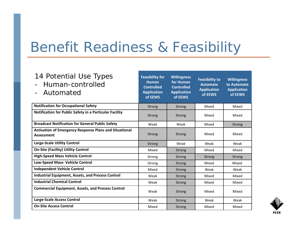# Benefit Readiness & Feasibility

| 14 Potential Use Types<br>Human-controlled<br>Automated                            | <b>Feasibility for</b><br><b>Human</b><br><b>Controlled</b><br><b>Application</b><br>of EEWS | <b>Willingness</b><br>for Human<br><b>Controlled</b><br><b>Application</b><br>of EEWS | <b>Feasibility to</b><br><b>Automate</b><br><b>Application</b><br>of EEWS | <b>Willingness</b><br>to Automate<br><b>Application</b><br>of EEWS |
|------------------------------------------------------------------------------------|----------------------------------------------------------------------------------------------|---------------------------------------------------------------------------------------|---------------------------------------------------------------------------|--------------------------------------------------------------------|
| <b>Notification for Occupational Safety</b>                                        | <b>Strong</b>                                                                                | <b>Strong</b>                                                                         | Mixed                                                                     | Mixed                                                              |
| Notification for Public Safety in a Particular Facility                            | Strong                                                                                       | <b>Strong</b>                                                                         | Mixed                                                                     | Mixed                                                              |
| <b>Broadcast Notification for General Public Safety</b>                            | Weak                                                                                         | Weak                                                                                  | Mixed                                                                     | <b>Strong</b>                                                      |
| <b>Activation of Emergency Response Plans and Situational</b><br><b>Assessment</b> | Strong                                                                                       | <b>Strong</b>                                                                         | Mixed                                                                     | Mixed                                                              |
| <b>Large-Scale Utility Control</b>                                                 | <b>Strong</b>                                                                                | Weak                                                                                  | Weak                                                                      | Weak                                                               |
| <b>On-Site (Facility) Utility Control</b>                                          | Mixed                                                                                        | <b>Strong</b>                                                                         | Mixed                                                                     | Mixed                                                              |
| <b>High-Speed Mass Vehicle Control</b>                                             | Strong                                                                                       | Strong                                                                                | Strong                                                                    | <b>Strong</b>                                                      |
| Low-Speed Mass- Vehicle Control                                                    | Strong                                                                                       | <b>Strong</b>                                                                         | Mixed                                                                     | Mixed                                                              |
| <b>Independent Vehicle Control</b>                                                 | Mixed                                                                                        | Strong                                                                                | Weak                                                                      | Weak                                                               |
| <b>Industrial Equipment, Assets, and Process Control</b>                           | Weak                                                                                         | <b>Strong</b>                                                                         | Mixed                                                                     | Mixed                                                              |
| <b>Industrial Chemical Control</b>                                                 | Weak                                                                                         | <b>Strong</b>                                                                         | Mixed                                                                     | Mixed                                                              |
| <b>Commercial Equipment, Assets, and Process Control</b>                           | Weak                                                                                         | Strong                                                                                | Mixed                                                                     | Mixed                                                              |
| Large-Scale Access Control                                                         | Weak                                                                                         | <b>Strong</b>                                                                         | Weak                                                                      | Weak                                                               |
| <b>On-Site Access Control</b>                                                      | Mixed                                                                                        | <b>Strong</b>                                                                         | Mixed                                                                     | Mixed                                                              |

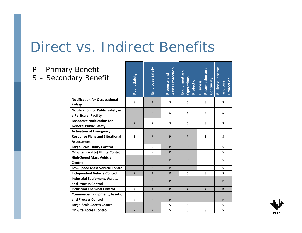### Direct vs. Indirect Benefits

P – Primary

 $S -$  Second

| / Benefit<br>ary Benefit                  | <b>Public Safety</b> | Employee Safety | <b>Asset Protection</b><br>Property and | Equipment and<br>Operations<br>Protection | Resumption and<br>Continuity<br><b>Business</b> | <b>Business Income</b><br>Protection<br>and Loss |  |
|-------------------------------------------|----------------------|-----------------|-----------------------------------------|-------------------------------------------|-------------------------------------------------|--------------------------------------------------|--|
| <b>Notification for Occupational</b>      | S                    | P               | S                                       | S                                         | S                                               | S                                                |  |
| Safety                                    |                      |                 |                                         |                                           |                                                 |                                                  |  |
| <b>Notification for Public Safety in</b>  | P                    | P               | S                                       | S                                         | S                                               | S                                                |  |
| a Particular Facility                     |                      |                 |                                         |                                           |                                                 |                                                  |  |
| <b>Broadcast Notification for</b>         | P                    | S               | S                                       | S                                         | S                                               | S                                                |  |
| <b>General Public Safety</b>              |                      |                 |                                         |                                           |                                                 |                                                  |  |
| <b>Activation of Emergency</b>            |                      |                 |                                         |                                           |                                                 |                                                  |  |
| <b>Response Plans and Situational</b>     | S                    | P               | P                                       | P                                         | S                                               | S                                                |  |
| Assessment                                |                      |                 |                                         |                                           |                                                 |                                                  |  |
| <b>Large-Scale Utility Control</b>        | S                    | S               | P                                       | P                                         | S                                               | $\mathsf{S}$                                     |  |
| <b>On-Site (Facility) Utility Control</b> | S                    | S               | P                                       | P                                         | S                                               | S                                                |  |
| <b>High-Speed Mass Vehicle</b>            | P                    | P               | P                                       | P                                         | S                                               | S                                                |  |
| Control                                   |                      |                 |                                         |                                           |                                                 |                                                  |  |
| <b>Low-Speed Mass Vehicle Control</b>     | P                    | P               | P                                       | P                                         | S                                               | S.                                               |  |
| <b>Independent Vehicle Control</b>        | P                    | P               | P                                       | S                                         | S                                               | S                                                |  |
| <b>Industrial Equipment, Assets,</b>      | S                    | P               | P                                       | P                                         | P                                               | P                                                |  |
| and Process Control                       |                      |                 |                                         |                                           |                                                 |                                                  |  |
| <b>Industrial Chemical Control</b>        | S                    | P               | P                                       | P                                         | P                                               | P                                                |  |
| <b>Commercial Equipment, Assets,</b>      |                      |                 |                                         |                                           |                                                 |                                                  |  |
| and Process Control                       | S                    | P               | P                                       | P                                         | P                                               | P                                                |  |
| <b>Large-Scale Access Control</b>         | P                    | P               | S                                       | S                                         | S                                               | S                                                |  |
| <b>On-Site Access Control</b>             | P                    | P               | S                                       | S                                         | S                                               | S                                                |  |

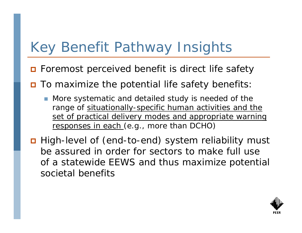# Key Benefit Pathway Insights

- **□** Foremost perceived benefit is direct life safety
- To maximize the potential life safety benefits:
	- F. More systematic and detailed study is needed of the range of situationally-specific human activities and the set of practical delivery modes and appropriate warning responses in each (e.g., more than DCHO)
- High-level of (end-to-end) system reliability must be assured in order for sectors to make full use of a statewide EEWS and thus maximize potential societal benefits

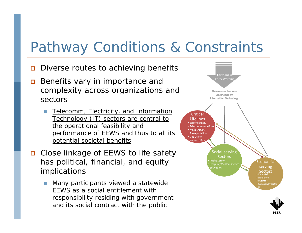### Pathway Conditions & Constraints

- $\Box$ Diverse routes to achieving benefits
- $\Box$  Benefits vary in importance and complexity across organizations and sectors
	- Telecomm, Electricity, and Information Technology (IT) sectors are central to the operational feasibility and performance of EEWS and thus to all its potential societal benefits
- Close linkage of EEWS to life safety has political, financial, and equity implications
	- П Many participants viewed a statewide EEWS as a social entitlement with responsibility residing with government and its social contract with the public



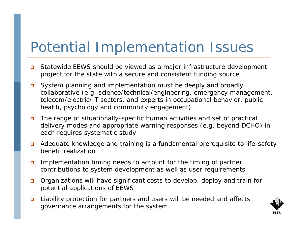# Potential Implementation Issues

- $\Box$  Statewide EEWS should be viewed as a major infrastructure development project for the state with a secure and consistent funding source
- System planning and implementation must be deeply and broadly collaborative (e.g. science/technical/engineering, emergency management, telecom/electric/IT sectors, and experts in occupational behavior, public health, psychology and community engagement)
- The range of situationally-specific human activities and set of practical delivery modes and appropriate warning responses (e.g. beyond DCHO) in each requires systematic study
- $\Box$  Adequate knowledge and training is a fundamental prerequisite to life-safety benefit realization
- $\Box$  Implementation timing needs to account for the timing of partner contributions to system development as well as user requirements
- $\Box$  Organizations will have significant costs to develop, deploy and train for potential applications of EEWS
- $\Box$  Liability protection for partners and users will be needed and affects governance arrangements for the system

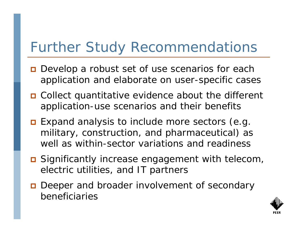# Further Study Recommendations

- **□** Develop a robust set of use scenarios for each application and elaborate on user-specific cases
- Collect quantitative evidence about the different application-use scenarios and their benefits
- **Expand analysis to include more sectors (e.g.** military, construction, and pharmaceutical) as well as within-sector variations and readiness
- Significantly increase engagement with telecom, electric utilities, and IT partners
- **Deeper and broader involvement of secondary** beneficiaries